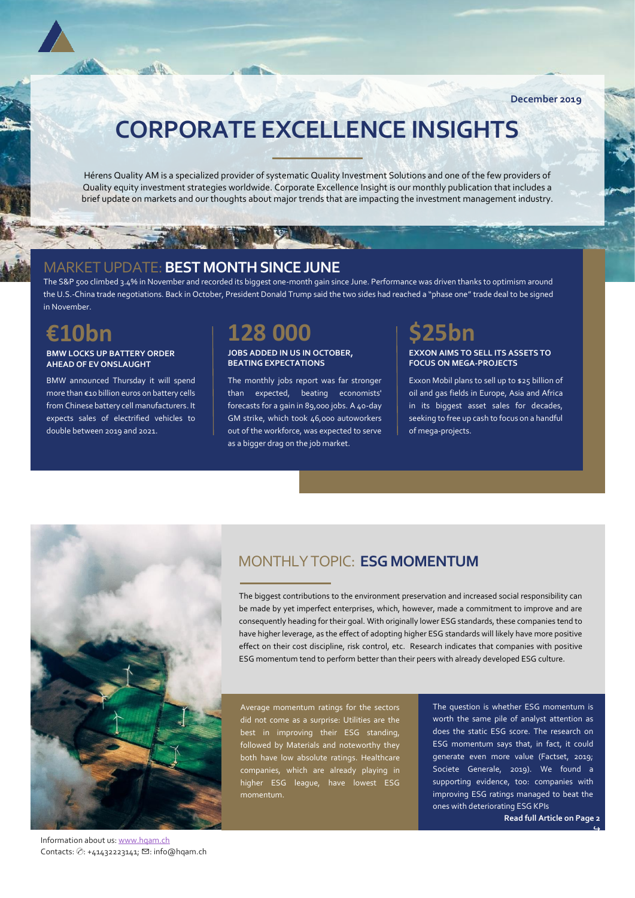# **CORPORATE EXCELLENCE INSIGHTS**

Hérens Quality AM is a specialized provider of systematic Quality Investment Solutions and one of the few providers of Quality equity investment strategies worldwide. Corporate Excellence Insight is our monthly publication that includes a brief update on markets and our thoughts about major trends that are impacting the investment management industry.

### MARKET UPDATE:**BEST MONTH SINCE JUNE**

 $-1$ 

The S&P 500 climbed 3.4% in November and recorded its biggest one-month gain since June. Performance was driven thanks to optimism around the U.S.-China trade negotiations. Back in October, President Donald Trump said the two sides had reached a "phase one" trade deal to be signed in November.

## **€10bn**

### **BMW LOCKS UP BATTERY ORDER AHEAD OF EV ONSLAUGHT**

BMW announced Thursday it will spend more than €10 billion euros on battery cells from Chinese battery cell manufacturers. It expects sales of electrified vehicles to double between 2019 and 2021.

## **128 000**

### **JOBS ADDED IN US IN OCTOBER, BEATING EXPECTATIONS**

The monthly jobs report was far stronger than expected, beating economists' forecasts for a gain in 89,000 jobs. A 40-day GM strike, which took 46,000 autoworkers out of the workforce, was expected to serve as a bigger drag on the job market.

# **\$25bn**

### **EXXON AIMS TO SELL ITS ASSETS TO FOCUS ON MEGA-PROJECTS**

Exxon Mobil plans to sell up to \$25 billion of oil and gas fields in Europe, Asia and Africa in its biggest asset sales for decades, seeking to free up cash to focus on a handful of mega-projects.



### MONTHLY TOPIC: **ESG MOMENTUM**

The biggest contributions to the environment preservation and increased social responsibility can be made by yet imperfect enterprises, which, however, made a commitment to improve and are consequently heading for their goal. With originally lower ESG standards, these companies tend to have higher leverage, as the effect of adopting higher ESG standards will likely have more positive effect on their cost discipline, risk control, etc. Research indicates that companies with positive ESG momentum tend to perform better than their peers with already developed ESG culture.

Average momentum ratings for the sectors did not come as a surprise: Utilities are the best in improving their ESG standing, followed by Materials and noteworthy they both have low absolute ratings. Healthcare companies, which are already playing in higher ESG league, have lowest ESG momentum.

The question is whether ESG momentum is worth the same pile of analyst attention as does the static ESG score. The research on ESG momentum says that, in fact, it could generate even more value (Factset, 2019; Societe Generale, 2019). We found a supporting evidence, too: companies with improving ESG ratings managed to beat the ones with deteriorating ESG KPIs

**Read full Article on Page 2** 

↪

Information about us[: www.hqam.ch](http://www.hqam.ch/) Contacts: ⊘: +41432223141; ⊠: info@hqam.ch